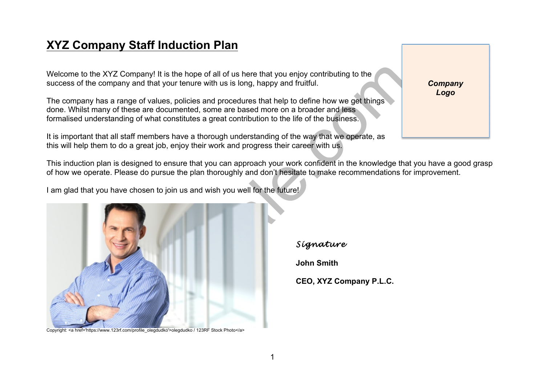## **XYZ Company Staff Induction Plan**

Welcome to the XYZ Company! It is the hope of all of us here that you enjoy contributing to the success of the company and that your tenure with us is long, happy and fruitful.

The company has a range of values, policies and procedures that help to define how we get things done. Whilst many of these are documented, some are based more on a broader and less formalised understanding of what constitutes a great contribution to the life of the business.

It is important that all staff members have a thorough understanding of the way that we operate, as this will help them to do a great job, enjoy their work and progress their career with us.



This induction plan is designed to ensure that you can approach your work confident in the knowledge that you have a good grasp of how we operate. Please do pursue the plan thoroughly and don't hesitate to make recommendations for improvement.

I am glad that you have chosen to join us and wish you well for the future!



Copyright: <a href='https://www.123rf.com/profile\_olegdudko'>olegdudko / 123RF Stock Photo</a>

*Signature* 

**John Smith**

**CEO, XYZ Company P.L.C.**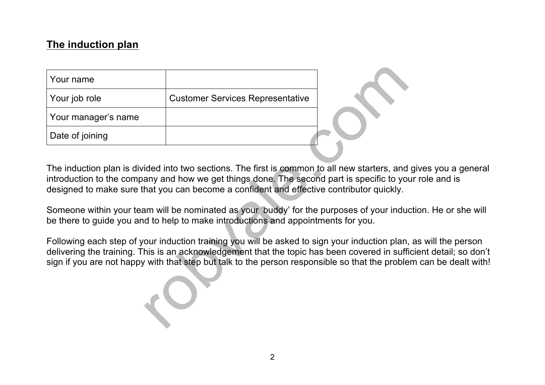## **The induction plan**

| Your name           |                                         |  |
|---------------------|-----------------------------------------|--|
| Your job role       | <b>Customer Services Representative</b> |  |
| Your manager's name |                                         |  |
| Date of joining     |                                         |  |

The induction plan is divided into two sections. The first is common to all new starters, and gives you a general introduction to the company and how we get things done. The second part is specific to your role and is designed to make sure that you can become a confident and effective contributor quickly.

Someone within your team will be nominated as your 'buddy' for the purposes of your induction. He or she will be there to guide you and to help to make introductions and appointments for you.

Following each step of your induction training you will be asked to sign your induction plan, as will the person delivering the training. This is an acknowledgement that the topic has been covered in sufficient detail; so don't sign if you are not happy with that step but talk to the person responsible so that the problem can be dealt with!

2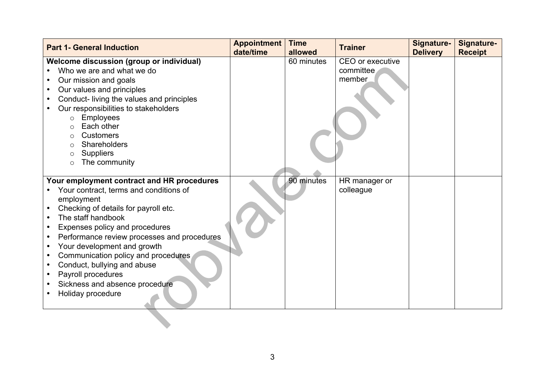|           | <b>Part 1- General Induction</b>                                   | <b>Appointment</b><br>date/time | <b>Time</b><br>allowed | <b>Trainer</b>   | Signature-<br><b>Delivery</b> | Signature-<br><b>Receipt</b> |
|-----------|--------------------------------------------------------------------|---------------------------------|------------------------|------------------|-------------------------------|------------------------------|
|           | Welcome discussion (group or individual)                           |                                 | 60 minutes             | CEO or executive |                               |                              |
|           | Who we are and what we do                                          |                                 |                        | committee        |                               |                              |
|           | Our mission and goals                                              |                                 |                        | member           |                               |                              |
|           | Our values and principles                                          |                                 |                        |                  |                               |                              |
| ٠         | Conduct- living the values and principles                          |                                 |                        |                  |                               |                              |
|           | Our responsibilities to stakeholders                               |                                 |                        |                  |                               |                              |
|           | <b>Employees</b><br>$\circ$                                        |                                 |                        |                  |                               |                              |
|           | Each other<br>$\bigcirc$                                           |                                 |                        |                  |                               |                              |
|           | Customers                                                          |                                 |                        |                  |                               |                              |
|           | <b>Shareholders</b><br>$\circ$                                     |                                 |                        |                  |                               |                              |
|           | <b>Suppliers</b><br>O                                              |                                 |                        |                  |                               |                              |
|           | The community<br>$\circ$                                           |                                 |                        |                  |                               |                              |
|           |                                                                    |                                 |                        |                  |                               |                              |
|           | Your employment contract and HR procedures                         |                                 | 90 minutes             | HR manager or    |                               |                              |
|           | Your contract, terms and conditions of                             |                                 |                        | colleague        |                               |                              |
|           | employment                                                         |                                 |                        |                  |                               |                              |
|           | Checking of details for payroll etc.                               |                                 |                        |                  |                               |                              |
|           | The staff handbook                                                 |                                 |                        |                  |                               |                              |
|           | Expenses policy and procedures                                     |                                 |                        |                  |                               |                              |
|           | Performance review processes and procedures                        |                                 |                        |                  |                               |                              |
| $\bullet$ | Your development and growth<br>Communication policy and procedures |                                 |                        |                  |                               |                              |
| ٠         |                                                                    |                                 |                        |                  |                               |                              |
| ٠         | Conduct, bullying and abuse                                        |                                 |                        |                  |                               |                              |
|           | Payroll procedures<br>Sickness and absence procedure               |                                 |                        |                  |                               |                              |
|           | Holiday procedure                                                  |                                 |                        |                  |                               |                              |
|           |                                                                    |                                 |                        |                  |                               |                              |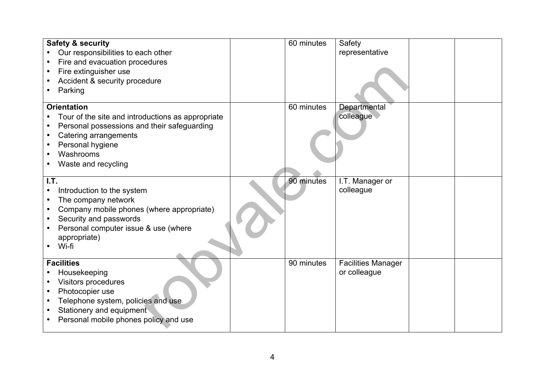| <b>Safety &amp; security</b><br>Our responsibilities to each other<br>Fire and evacuation procedures<br>Fire extinguisher use<br>Accident & security procedure<br>Parking<br>$\bullet$                                            | 60 minutes | Safety<br>representative                  |  |
|-----------------------------------------------------------------------------------------------------------------------------------------------------------------------------------------------------------------------------------|------------|-------------------------------------------|--|
| <b>Orientation</b><br>Tour of the site and introductions as appropriate<br>Personal possessions and their safeguarding<br>$\bullet$<br>Catering arrangements<br>Personal hygiene<br>$\bullet$<br>Washrooms<br>Waste and recycling | 60 minutes | Departmental<br>colleague                 |  |
| 1.7.<br>Introduction to the system<br>$\bullet$<br>The company network<br>$\bullet$<br>Company mobile phones (where appropriate)<br>Security and passwords<br>Personal computer issue & use (where<br>appropriate)<br>Wi-fi       | 90 minutes | I.T. Manager or<br>colleague              |  |
| <b>Facilities</b><br>Housekeeping<br>Visitors procedures<br>Photocopier use<br>Telephone system, policies and use<br>Stationery and equipment<br>$\bullet$<br>Personal mobile phones policy and use                               | 90 minutes | <b>Facilities Manager</b><br>or colleague |  |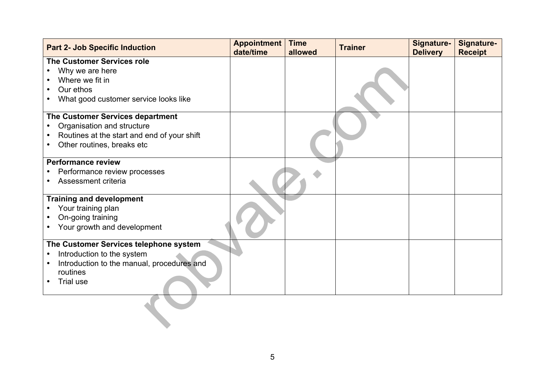|           | <b>Part 2- Job Specific Induction</b>       | <b>Appointment</b><br>date/time | <b>Time</b><br>allowed | <b>Trainer</b> | Signature-<br><b>Delivery</b> | Signature-<br><b>Receipt</b> |
|-----------|---------------------------------------------|---------------------------------|------------------------|----------------|-------------------------------|------------------------------|
|           | <b>The Customer Services role</b>           |                                 |                        |                |                               |                              |
|           | Why we are here                             |                                 |                        |                |                               |                              |
|           | Where we fit in                             |                                 |                        |                |                               |                              |
|           | Our ethos                                   |                                 |                        |                |                               |                              |
| $\bullet$ | What good customer service looks like       |                                 |                        |                |                               |                              |
|           | The Customer Services department            |                                 |                        |                |                               |                              |
| $\bullet$ | Organisation and structure                  |                                 |                        |                |                               |                              |
| $\bullet$ | Routines at the start and end of your shift |                                 |                        |                |                               |                              |
| $\bullet$ | Other routines, breaks etc                  |                                 |                        |                |                               |                              |
|           | <b>Performance review</b>                   |                                 |                        |                |                               |                              |
|           | Performance review processes                |                                 |                        |                |                               |                              |
|           | Assessment criteria                         |                                 |                        |                |                               |                              |
|           | <b>Training and development</b>             |                                 |                        |                |                               |                              |
| $\bullet$ | Your training plan                          |                                 |                        |                |                               |                              |
|           | On-going training                           |                                 |                        |                |                               |                              |
| $\bullet$ | Your growth and development                 |                                 |                        |                |                               |                              |
|           | The Customer Services telephone system      |                                 |                        |                |                               |                              |
| $\bullet$ | Introduction to the system                  |                                 |                        |                |                               |                              |
| $\bullet$ | Introduction to the manual, procedures and  |                                 |                        |                |                               |                              |
|           | routines                                    |                                 |                        |                |                               |                              |
|           | Trial use                                   |                                 |                        |                |                               |                              |
|           |                                             |                                 |                        |                |                               |                              |
|           |                                             |                                 |                        |                |                               |                              |